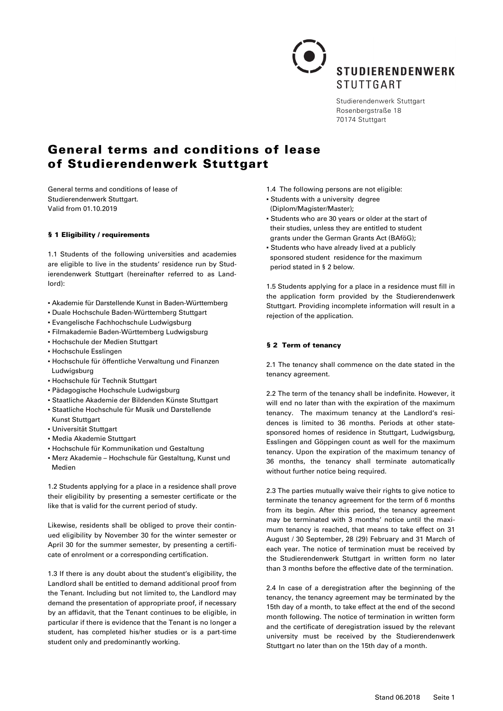

Studierendenwerk Stuttgart Rosenbergstraße 18 70174 Stuttgart

# General terms and conditions of lease of Studierendenwerk Stuttgart

General terms and conditions of lease of Studierendenwerk Stuttgart. Valid from 01.10.2019

#### § 1 Eligibility / requirements

1.1 Students of the following universities and academies are eligible to live in the students' residence run by Studierendenwerk Stuttgart (hereinafter referred to as Landlord):

- Akademie für Darstellende Kunst in Baden-Württemberg
- Duale Hochschule Baden-Württemberg Stuttgart
- Evangelische Fachhochschule Ludwigsburg
- Filmakademie Baden-Württemberg Ludwigsburg
- Hochschule der Medien Stuttgart
- Hochschule Esslingen
- Hochschule für öffentliche Verwaltung und Finanzen Ludwigsburg
- Hochschule für Technik Stuttgart
- Pädagogische Hochschule Ludwigsburg
- Staatliche Akademie der Bildenden Künste Stuttgart
- Staatliche Hochschule für Musik und Darstellende Kunst Stuttgart
- Universität Stuttgart
- Media Akademie Stuttgart
- Hochschule für Kommunikation und Gestaltung
- Merz Akademie Hochschule für Gestaltung, Kunst und Medien

1.2 Students applying for a place in a residence shall prove their eligibility by presenting a semester certificate or the like that is valid for the current period of study.

Likewise, residents shall be obliged to prove their continued eligibility by November 30 for the winter semester or April 30 for the summer semester, by presenting a certificate of enrolment or a corresponding certification.

1.3 If there is any doubt about the student's eligibility, the Landlord shall be entitled to demand additional proof from the Tenant. Including but not limited to, the Landlord may demand the presentation of appropriate proof, if necessary by an affidavit, that the Tenant continues to be eligible, in particular if there is evidence that the Tenant is no longer a student, has completed his/her studies or is a part-time student only and predominantly working.

- 1.4 The following persons are not eligible:
- Students with a university degree (Diplom/Magister/Master);
- Students who are 30 years or older at the start of their studies, unless they are entitled to student grants under the German Grants Act (BAföG);
- Students who have already lived at a publicly sponsored student residence for the maximum period stated in § 2 below.

1.5 Students applying for a place in a residence must fill in the application form provided by the Studierendenwerk Stuttgart. Providing incomplete information will result in a rejection of the application.

#### § 2 Term of tenancy

2.1 The tenancy shall commence on the date stated in the tenancy agreement.

2.2 The term of the tenancy shall be indefinite. However, it will end no later than with the expiration of the maximum tenancy. The maximum tenancy at the Landlord's residences is limited to 36 months. Periods at other statesponsored homes of residence in Stuttgart, Ludwigsburg, Esslingen and Göppingen count as well for the maximum tenancy. Upon the expiration of the maximum tenancy of 36 months, the tenancy shall terminate automatically without further notice being required.

2.3 The parties mutually waive their rights to give notice to terminate the tenancy agreement for the term of 6 months from its begin. After this period, the tenancy agreement may be terminated with 3 months' notice until the maximum tenancy is reached, that means to take effect on 31 August / 30 September, 28 (29) February and 31 March of each year. The notice of termination must be received by the Studierendenwerk Stuttgart in written form no later than 3 months before the effective date of the termination.

2.4 In case of a deregistration after the beginning of the tenancy, the tenancy agreement may be terminated by the 15th day of a month, to take effect at the end of the second month following. The notice of termination in written form and the certificate of deregistration issued by the relevant university must be received by the Studierendenwerk Stuttgart no later than on the 15th day of a month.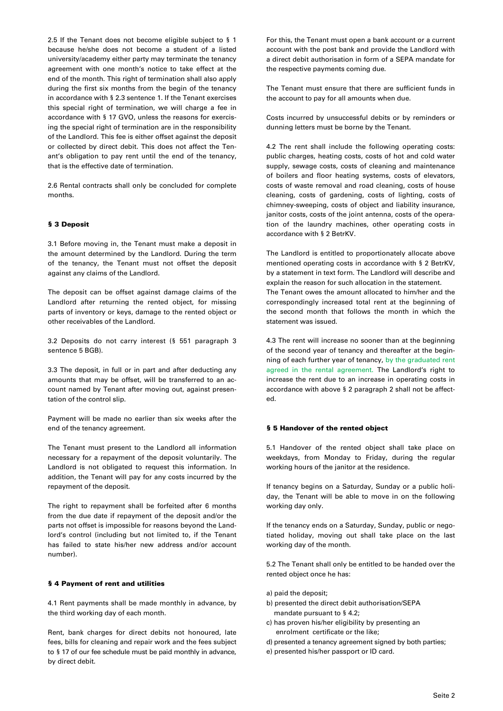2.5 If the Tenant does not become eligible subject to § 1 because he/she does not become a student of a listed university/academy either party may terminate the tenancy agreement with one month's notice to take effect at the end of the month. This right of termination shall also apply during the first six months from the begin of the tenancy in accordance with § 2.3 sentence 1. If the Tenant exercises this special right of termination, we will charge a fee in accordance with § 17 GVO, unless the reasons for exercising the special right of termination are in the responsibility of the Landlord. This fee is either offset against the deposit or collected by direct debit. This does not affect the Tenant's obligation to pay rent until the end of the tenancy, that is the effective date of termination.

2.6 Rental contracts shall only be concluded for complete months.

## § 3 Deposit

3.1 Before moving in, the Tenant must make a deposit in the amount determined by the Landlord. During the term of the tenancy, the Tenant must not offset the deposit against any claims of the Landlord.

The deposit can be offset against damage claims of the Landlord after returning the rented object, for missing parts of inventory or keys, damage to the rented object or other receivables of the Landlord.

3.2 Deposits do not carry interest (§ 551 paragraph 3 sentence 5 BGB).

3.3 The deposit, in full or in part and after deducting any amounts that may be offset, will be transferred to an account named by Tenant after moving out, against presentation of the control slip.

Payment will be made no earlier than six weeks after the end of the tenancy agreement.

The Tenant must present to the Landlord all information necessary for a repayment of the deposit voluntarily. The Landlord is not obligated to request this information. In addition, the Tenant will pay for any costs incurred by the repayment of the deposit.

The right to repayment shall be forfeited after 6 months from the due date if repayment of the deposit and/or the parts not offset is impossible for reasons beyond the Landlord's control (including but not limited to, if the Tenant has failed to state his/her new address and/or account number).

## § 4 Payment of rent and utilities

4.1 Rent payments shall be made monthly in advance, by the third working day of each month.

Rent, bank charges for direct debits not honoured, late fees, bills for cleaning and repair work and the fees subject to § 17 of our fee schedule must be paid monthly in advance, by direct debit.

For this, the Tenant must open a bank account or a current account with the post bank and provide the Landlord with a direct debit authorisation in form of a SEPA mandate for the respective payments coming due.

The Tenant must ensure that there are sufficient funds in the account to pay for all amounts when due.

Costs incurred by unsuccessful debits or by reminders or dunning letters must be borne by the Tenant.

4.2 The rent shall include the following operating costs: public charges, heating costs, costs of hot and cold water supply, sewage costs, costs of cleaning and maintenance of boilers and floor heating systems, costs of elevators, costs of waste removal and road cleaning, costs of house cleaning, costs of gardening, costs of lighting, costs of chimney-sweeping, costs of object and liability insurance, janitor costs, costs of the joint antenna, costs of the operation of the laundry machines, other operating costs in accordance with § 2 BetrKV.

The Landlord is entitled to proportionately allocate above mentioned operating costs in accordance with § 2 BetrKV, by a statement in text form. The Landlord will describe and explain the reason for such allocation in the statement. The Tenant owes the amount allocated to him/her and the correspondingly increased total rent at the beginning of the second month that follows the month in which the statement was issued.

4.3 The rent will increase no sooner than at the beginning of the second year of tenancy and thereafter at the beginning of each further year of tenancy, by the graduated rent agreed in the rental agreement. The Landlord's right to increase the rent due to an increase in operating costs in accordance with above § 2 paragraph 2 shall not be affected.

#### § 5 Handover of the rented object

5.1 Handover of the rented object shall take place on weekdays, from Monday to Friday, during the regular working hours of the janitor at the residence.

If tenancy begins on a Saturday, Sunday or a public holiday, the Tenant will be able to move in on the following working day only.

If the tenancy ends on a Saturday, Sunday, public or negotiated holiday, moving out shall take place on the last working day of the month.

5.2 The Tenant shall only be entitled to be handed over the rented object once he has:

- a) paid the deposit;
- b) presented the direct debit authorisation/SEPA mandate pursuant to § 4.2;
- c) has proven his/her eligibility by presenting an enrolment certificate or the like;
- d) presented a tenancy agreement signed by both parties;
- e) presented his/her passport or ID card.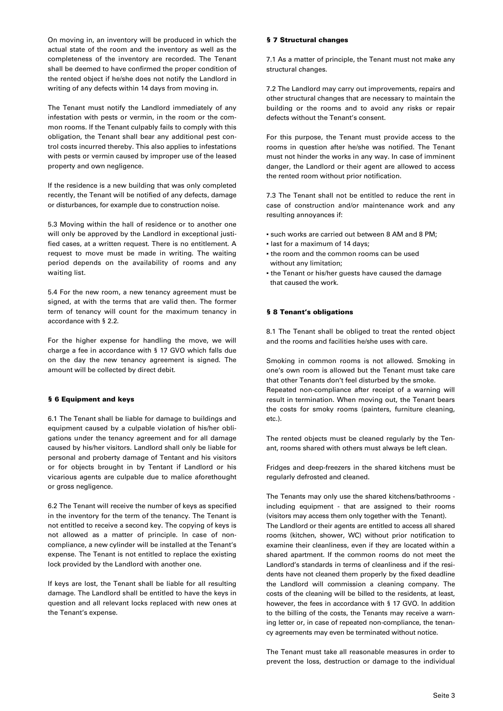On moving in, an inventory will be produced in which the actual state of the room and the inventory as well as the completeness of the inventory are recorded. The Tenant shall be deemed to have confirmed the proper condition of the rented object if he/she does not notify the Landlord in writing of any defects within 14 days from moving in.

The Tenant must notify the Landlord immediately of any infestation with pests or vermin, in the room or the common rooms. If the Tenant culpably fails to comply with this obligation, the Tenant shall bear any additional pest control costs incurred thereby. This also applies to infestations with pests or vermin caused by improper use of the leased property and own negligence.

If the residence is a new building that was only completed recently, the Tenant will be notified of any defects, damage or disturbances, for example due to construction noise.

5.3 Moving within the hall of residence or to another one will only be approved by the Landlord in exceptional justified cases, at a written request. There is no entitlement. A request to move must be made in writing. The waiting period depends on the availability of rooms and any waiting list.

5.4 For the new room, a new tenancy agreement must be signed, at with the terms that are valid then. The former term of tenancy will count for the maximum tenancy in accordance with § 2.2.

For the higher expense for handling the move, we will charge a fee in accordance with § 17 GVO which falls due on the day the new tenancy agreement is signed. The amount will be collected by direct debit.

#### § 6 Equipment and keys

6.1 The Tenant shall be liable for damage to buildings and equipment caused by a culpable violation of his/her obligations under the tenancy agreement and for all damage caused by his/her visitors. Landlord shall only be liable for personal and proberty damage of Tentant and his visitors or for objects brought in by Tentant if Landlord or his vicarious agents are culpable due to malice aforethought or gross negligence.

6.2 The Tenant will receive the number of keys as specified in the inventory for the term of the tenancy. The Tenant is not entitled to receive a second key. The copying of keys is not allowed as a matter of principle. In case of noncompliance, a new cylinder will be installed at the Tenant's expense. The Tenant is not entitled to replace the existing lock provided by the Landlord with another one.

If keys are lost, the Tenant shall be liable for all resulting damage. The Landlord shall be entitled to have the keys in question and all relevant locks replaced with new ones at the Tenant's expense.

#### § 7 Structural changes

7.1 As a matter of principle, the Tenant must not make any structural changes.

7.2 The Landlord may carry out improvements, repairs and other structural changes that are necessary to maintain the building or the rooms and to avoid any risks or repair defects without the Tenant's consent.

For this purpose, the Tenant must provide access to the rooms in question after he/she was notified. The Tenant must not hinder the works in any way. In case of imminent danger, the Landlord or their agent are allowed to access the rented room without prior notification.

7.3 The Tenant shall not be entitled to reduce the rent in case of construction and/or maintenance work and any resulting annoyances if:

- such works are carried out between 8 AM and 8 PM;
- last for a maximum of 14 days;
- the room and the common rooms can be used without any limitation;
- the Tenant or his/her guests have caused the damage that caused the work.

#### § 8 Tenant's obligations

8.1 The Tenant shall be obliged to treat the rented object and the rooms and facilities he/she uses with care.

Smoking in common rooms is not allowed. Smoking in one's own room is allowed but the Tenant must take care that other Tenants don't feel disturbed by the smoke. Repeated non-compliance after receipt of a warning will result in termination. When moving out, the Tenant bears the costs for smoky rooms (painters, furniture cleaning, etc.).

The rented objects must be cleaned regularly by the Tenant, rooms shared with others must always be left clean.

Fridges and deep-freezers in the shared kitchens must be regularly defrosted and cleaned.

The Tenants may only use the shared kitchens/bathrooms including equipment - that are assigned to their rooms (visitors may access them only together with the Tenant). The Landlord or their agents are entitled to access all shared rooms (kitchen, shower, WC) without prior notification to examine their cleanliness, even if they are located within a shared apartment. If the common rooms do not meet the Landlord's standards in terms of cleanliness and if the residents have not cleaned them properly by the fixed deadline the Landlord will commission a cleaning company. The costs of the cleaning will be billed to the residents, at least, however, the fees in accordance with § 17 GVO. In addition to the billing of the costs, the Tenants may receive a warning letter or, in case of repeated non-compliance, the tenancy agreements may even be terminated without notice.

The Tenant must take all reasonable measures in order to prevent the loss, destruction or damage to the individual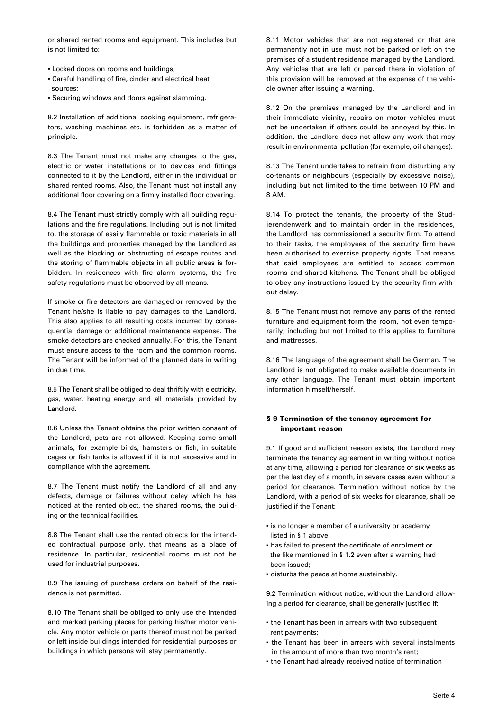or shared rented rooms and equipment. This includes but is not limited to:

- Locked doors on rooms and buildings;
- Careful handling of fire, cinder and electrical heat sources;
- Securing windows and doors against slamming.

8.2 Installation of additional cooking equipment, refrigerators, washing machines etc. is forbidden as a matter of principle.

8.3 The Tenant must not make any changes to the gas, electric or water installations or to devices and fittings connected to it by the Landlord, either in the individual or shared rented rooms. Also, the Tenant must not install any additional floor covering on a firmly installed floor covering.

8.4 The Tenant must strictly comply with all building regulations and the fire regulations. Including but is not limited to, the storage of easily flammable or toxic materials in all the buildings and properties managed by the Landlord as well as the blocking or obstructing of escape routes and the storing of flammable objects in all public areas is forbidden. In residences with fire alarm systems, the fire safety regulations must be observed by all means.

If smoke or fire detectors are damaged or removed by the Tenant he/she is liable to pay damages to the Landlord. This also applies to all resulting costs incurred by consequential damage or additional maintenance expense. The smoke detectors are checked annually. For this, the Tenant must ensure access to the room and the common rooms. The Tenant will be informed of the planned date in writing in due time.

8.5 The Tenant shall be obliged to deal thriftily with electricity, gas, water, heating energy and all materials provided by Landlord.

8.6 Unless the Tenant obtains the prior written consent of the Landlord, pets are not allowed. Keeping some small animals, for example birds, hamsters or fish, in suitable cages or fish tanks is allowed if it is not excessive and in compliance with the agreement.

8.7 The Tenant must notify the Landlord of all and any defects, damage or failures without delay which he has noticed at the rented object, the shared rooms, the building or the technical facilities.

8.8 The Tenant shall use the rented objects for the intended contractual purpose only, that means as a place of residence. In particular, residential rooms must not be used for industrial purposes.

8.9 The issuing of purchase orders on behalf of the residence is not permitted.

8.10 The Tenant shall be obliged to only use the intended and marked parking places for parking his/her motor vehicle. Any motor vehicle or parts thereof must not be parked or left inside buildings intended for residential purposes or buildings in which persons will stay permanently.

8.11 Motor vehicles that are not registered or that are permanently not in use must not be parked or left on the premises of a student residence managed by the Landlord. Any vehicles that are left or parked there in violation of this provision will be removed at the expense of the vehicle owner after issuing a warning.

8.12 On the premises managed by the Landlord and in their immediate vicinity, repairs on motor vehicles must not be undertaken if others could be annoyed by this. In addition, the Landlord does not allow any work that may result in environmental pollution (for example, oil changes).

8.13 The Tenant undertakes to refrain from disturbing any co-tenants or neighbours (especially by excessive noise), including but not limited to the time between 10 PM and 8 AM.

8.14 To protect the tenants, the property of the Studierendenwerk and to maintain order in the residences, the Landlord has commissioned a security firm. To attend to their tasks, the employees of the security firm have been authorised to exercise property rights. That means that said employees are entitled to access common rooms and shared kitchens. The Tenant shall be obliged to obey any instructions issued by the security firm without delay.

8.15 The Tenant must not remove any parts of the rented furniture and equipment form the room, not even temporarily; including but not limited to this applies to furniture and mattresses.

8.16 The language of the agreement shall be German. The Landlord is not obligated to make available documents in any other language. The Tenant must obtain important information himself/herself.

## § 9 Termination of the tenancy agreement for important reason

9.1 If good and sufficient reason exists, the Landlord may terminate the tenancy agreement in writing without notice at any time, allowing a period for clearance of six weeks as per the last day of a month, in severe cases even without a period for clearance. Termination without notice by the Landlord, with a period of six weeks for clearance, shall be justified if the Tenant:

- **.** is no longer a member of a university or academy listed in § 1 above;
- has failed to present the certificate of enrolment or the like mentioned in § 1.2 even after a warning had been issued;
- disturbs the peace at home sustainably.

9.2 Termination without notice, without the Landlord allowing a period for clearance, shall be generally justified if:

- the Tenant has been in arrears with two subsequent rent payments;
- the Tenant has been in arrears with several instalments in the amount of more than two month's rent;
- the Tenant had already received notice of termination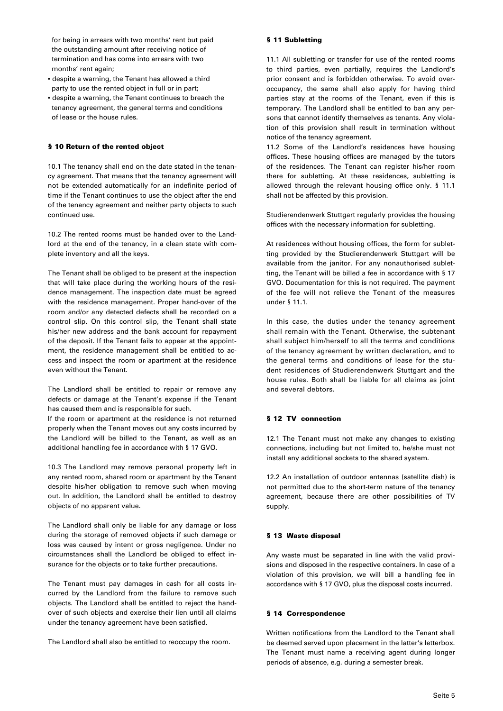for being in arrears with two months' rent but paid the outstanding amount after receiving notice of termination and has come into arrears with two months' rent again;

- despite a warning, the Tenant has allowed a third party to use the rented object in full or in part;
- despite a warning, the Tenant continues to breach the tenancy agreement, the general terms and conditions of lease or the house rules.

#### § 10 Return of the rented object

10.1 The tenancy shall end on the date stated in the tenancy agreement. That means that the tenancy agreement will not be extended automatically for an indefinite period of time if the Tenant continues to use the object after the end of the tenancy agreement and neither party objects to such continued use.

10.2 The rented rooms must be handed over to the Landlord at the end of the tenancy, in a clean state with complete inventory and all the keys.

The Tenant shall be obliged to be present at the inspection that will take place during the working hours of the residence management. The inspection date must be agreed with the residence management. Proper hand-over of the room and/or any detected defects shall be recorded on a control slip. On this control slip, the Tenant shall state his/her new address and the bank account for repayment of the deposit. If the Tenant fails to appear at the appointment, the residence management shall be entitled to access and inspect the room or apartment at the residence even without the Tenant.

The Landlord shall be entitled to repair or remove any defects or damage at the Tenant's expense if the Tenant has caused them and is responsible for such.

If the room or apartment at the residence is not returned properly when the Tenant moves out any costs incurred by the Landlord will be billed to the Tenant, as well as an additional handling fee in accordance with § 17 GVO.

10.3 The Landlord may remove personal property left in any rented room, shared room or apartment by the Tenant despite his/her obligation to remove such when moving out. In addition, the Landlord shall be entitled to destroy objects of no apparent value.

The Landlord shall only be liable for any damage or loss during the storage of removed objects if such damage or loss was caused by intent or gross negligence. Under no circumstances shall the Landlord be obliged to effect insurance for the objects or to take further precautions.

The Tenant must pay damages in cash for all costs incurred by the Landlord from the failure to remove such objects. The Landlord shall be entitled to reject the handover of such objects and exercise their lien until all claims under the tenancy agreement have been satisfied.

The Landlord shall also be entitled to reoccupy the room.

#### § 11 Subletting

11.1 All subletting or transfer for use of the rented rooms to third parties, even partially, requires the Landlord's prior consent and is forbidden otherwise. To avoid overoccupancy, the same shall also apply for having third parties stay at the rooms of the Tenant, even if this is temporary. The Landlord shall be entitled to ban any persons that cannot identify themselves as tenants. Any violation of this provision shall result in termination without notice of the tenancy agreement.

11.2 Some of the Landlord's residences have housing offices. These housing offices are managed by the tutors of the residences. The Tenant can register his/her room there for subletting. At these residences, subletting is allowed through the relevant housing office only. § 11.1 shall not be affected by this provision.

Studierendenwerk Stuttgart regularly provides the housing offices with the necessary information for subletting.

At residences without housing offices, the form for subletting provided by the Studierendenwerk Stuttgart will be available from the janitor. For any nonauthorised subletting, the Tenant will be billed a fee in accordance with § 17 GVO. Documentation for this is not required. The payment of the fee will not relieve the Tenant of the measures under § 11.1.

In this case, the duties under the tenancy agreement shall remain with the Tenant. Otherwise, the subtenant shall subject him/herself to all the terms and conditions of the tenancy agreement by written declaration, and to the general terms and conditions of lease for the student residences of Studierendenwerk Stuttgart and the house rules. Both shall be liable for all claims as joint and several debtors.

#### § 12 TV connection

12.1 The Tenant must not make any changes to existing connections, including but not limited to, he/she must not install any additional sockets to the shared system.

12.2 An installation of outdoor antennas (satellite dish) is not permitted due to the short-term nature of the tenancy agreement, because there are other possibilities of TV supply.

#### § 13 Waste disposal

Any waste must be separated in line with the valid provisions and disposed in the respective containers. In case of a violation of this provision, we will bill a handling fee in accordance with § 17 GVO, plus the disposal costs incurred.

#### § 14 Correspondence

Written notifications from the Landlord to the Tenant shall be deemed served upon placement in the latter's letterbox. The Tenant must name a receiving agent during longer periods of absence, e.g. during a semester break.